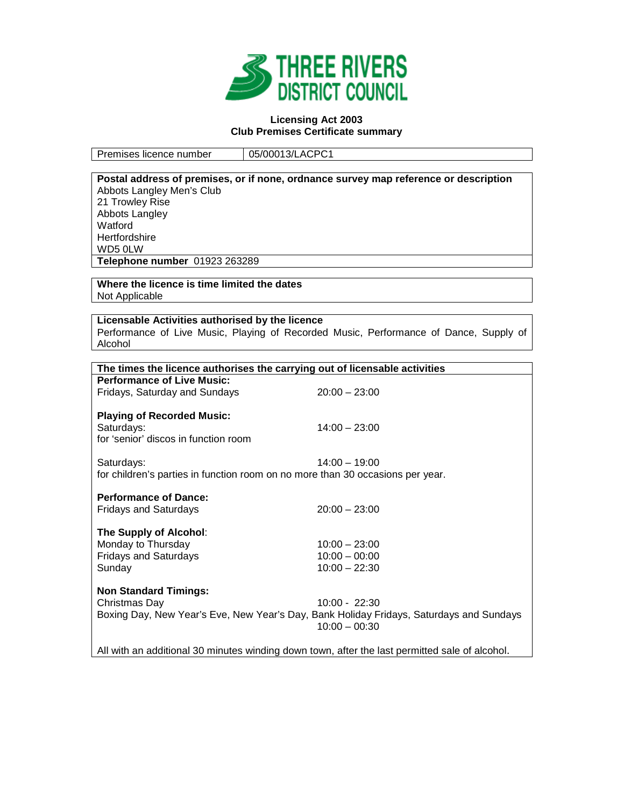

### **Licensing Act 2003 Club Premises Certificate summary**

Premises licence number | 05/00013/LACPC1

|                                                                                                                 | Postal address of premises, or if none, ordnance survey map reference or description           |
|-----------------------------------------------------------------------------------------------------------------|------------------------------------------------------------------------------------------------|
| Abbots Langley Men's Club                                                                                       |                                                                                                |
| 21 Trowley Rise                                                                                                 |                                                                                                |
| Abbots Langley                                                                                                  |                                                                                                |
| Watford                                                                                                         |                                                                                                |
| Hertfordshire                                                                                                   |                                                                                                |
| WD5 0LW                                                                                                         |                                                                                                |
| Telephone number 01923 263289                                                                                   |                                                                                                |
|                                                                                                                 |                                                                                                |
| Where the licence is time limited the dates                                                                     |                                                                                                |
| Not Applicable                                                                                                  |                                                                                                |
|                                                                                                                 |                                                                                                |
| Licensable Activities authorised by the licence                                                                 |                                                                                                |
|                                                                                                                 | Performance of Live Music, Playing of Recorded Music, Performance of Dance, Supply of          |
| Alcohol                                                                                                         |                                                                                                |
|                                                                                                                 |                                                                                                |
| The times the licence authorises the carrying out of licensable activities<br><b>Performance of Live Music:</b> |                                                                                                |
|                                                                                                                 |                                                                                                |
| Fridays, Saturday and Sundays                                                                                   | $20:00 - 23:00$                                                                                |
| <b>Playing of Recorded Music:</b>                                                                               |                                                                                                |
| Saturdays:                                                                                                      | $14:00 - 23:00$                                                                                |
| for 'senior' discos in function room                                                                            |                                                                                                |
|                                                                                                                 |                                                                                                |
| Saturdays:                                                                                                      | $14:00 - 19:00$                                                                                |
| for children's parties in function room on no more than 30 occasions per year.                                  |                                                                                                |
|                                                                                                                 |                                                                                                |
| <b>Performance of Dance:</b>                                                                                    |                                                                                                |
| <b>Fridays and Saturdays</b>                                                                                    | $20:00 - 23:00$                                                                                |
|                                                                                                                 |                                                                                                |
| The Supply of Alcohol:                                                                                          |                                                                                                |
| Monday to Thursday                                                                                              | $10:00 - 23:00$                                                                                |
| <b>Fridays and Saturdays</b>                                                                                    | $10:00 - 00:00$                                                                                |
| Sunday                                                                                                          | $10:00 - 22:30$                                                                                |
|                                                                                                                 |                                                                                                |
| <b>Non Standard Timings:</b>                                                                                    |                                                                                                |
| Christmas Day                                                                                                   | $10:00 - 22:30$                                                                                |
|                                                                                                                 | Boxing Day, New Year's Eve, New Year's Day, Bank Holiday Fridays, Saturdays and Sundays        |
|                                                                                                                 | $10:00 - 00:30$                                                                                |
|                                                                                                                 |                                                                                                |
|                                                                                                                 | All with an additional 30 minutes winding down town, after the last permitted sale of alcohol. |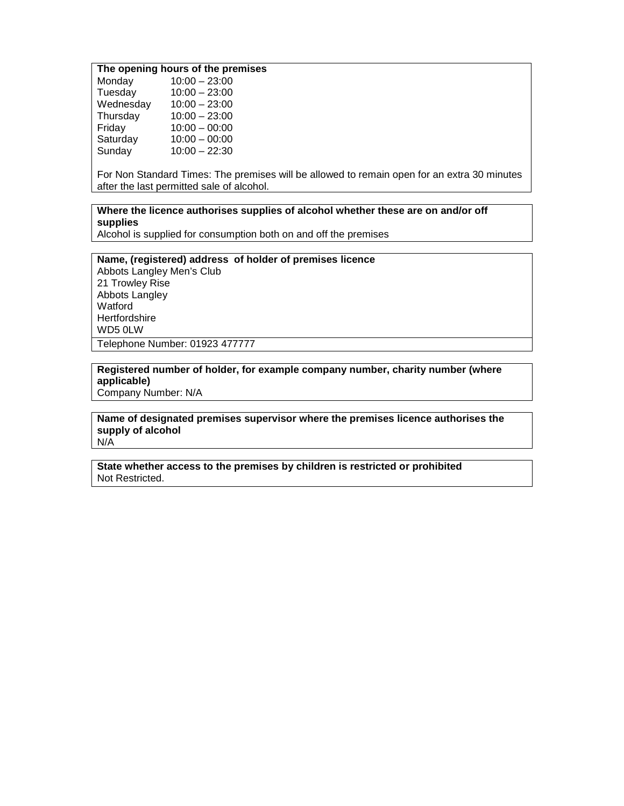## **The opening hours of the premises**

| Monday    | $10:00 - 23:00$ |
|-----------|-----------------|
| Tuesday   | $10:00 - 23:00$ |
| Wednesday | $10:00 - 23:00$ |
| Thursday  | $10:00 - 23:00$ |
| Friday    | $10:00 - 00:00$ |
| Saturday  | $10:00 - 00:00$ |
| Sunday    | $10:00 - 22:30$ |
|           |                 |

For Non Standard Times: The premises will be allowed to remain open for an extra 30 minutes after the last permitted sale of alcohol.

## **Where the licence authorises supplies of alcohol whether these are on and/or off supplies**

Alcohol is supplied for consumption both on and off the premises

## **Name, (registered) address of holder of premises licence** Abbots Langley Men's Club 21 Trowley Rise Abbots Langley Watford **Hertfordshire** WD5 0LW Telephone Number: 01923 477777

### **Registered number of holder, for example company number, charity number (where applicable)** Company Number: N/A

# **Name of designated premises supervisor where the premises licence authorises the supply of alcohol**

N/A

## **State whether access to the premises by children is restricted or prohibited** Not Restricted.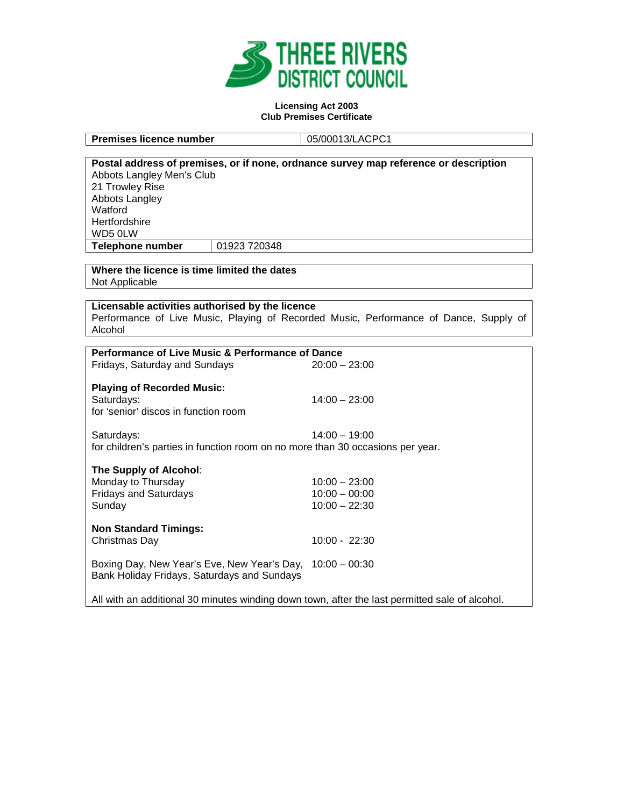

#### **Licensing Act 2003 Club Premises Certificate**

**Premises licence number** 05/00013/LACPC1

| Postal address of premises, or if none, ordnance survey map reference or description |              |                                                                                       |  |
|--------------------------------------------------------------------------------------|--------------|---------------------------------------------------------------------------------------|--|
| Abbots Langley Men's Club                                                            |              |                                                                                       |  |
| 21 Trowley Rise                                                                      |              |                                                                                       |  |
| Abbots Langley                                                                       |              |                                                                                       |  |
| Watford                                                                              |              |                                                                                       |  |
| Hertfordshire                                                                        |              |                                                                                       |  |
| WD5 0LW                                                                              |              |                                                                                       |  |
| <b>Telephone number</b>                                                              | 01923 720348 |                                                                                       |  |
|                                                                                      |              |                                                                                       |  |
| Where the licence is time limited the dates                                          |              |                                                                                       |  |
| Not Applicable                                                                       |              |                                                                                       |  |
|                                                                                      |              |                                                                                       |  |
| Licensable activities authorised by the licence                                      |              |                                                                                       |  |
|                                                                                      |              | Performance of Live Music, Playing of Recorded Music, Performance of Dance, Supply of |  |
| Alcohol                                                                              |              |                                                                                       |  |
| Performance of Live Music & Performance of Dance                                     |              |                                                                                       |  |
| Fridays, Saturday and Sundays                                                        |              | $20:00 - 23:00$                                                                       |  |
|                                                                                      |              |                                                                                       |  |
| <b>Playing of Recorded Music:</b>                                                    |              |                                                                                       |  |
| Saturdays:                                                                           |              | $14:00 - 23:00$                                                                       |  |
| for 'senior' discos in function room                                                 |              |                                                                                       |  |
|                                                                                      |              |                                                                                       |  |
| Saturdays:                                                                           |              | $14:00 - 19:00$                                                                       |  |
|                                                                                      |              | for children's parties in function room on no more than 30 occasions per year.        |  |
|                                                                                      |              |                                                                                       |  |
| The Supply of Alcohol:                                                               |              |                                                                                       |  |
| Monday to Thursday                                                                   |              | $10:00 - 23:00$                                                                       |  |
| <b>Fridays and Saturdays</b>                                                         |              | $10:00 - 00:00$                                                                       |  |
| Sunday                                                                               |              | $10:00 - 22:30$                                                                       |  |
|                                                                                      |              |                                                                                       |  |
| <b>Non Standard Timings:</b>                                                         |              |                                                                                       |  |
| Christmas Day                                                                        |              | $10:00 - 22:30$                                                                       |  |

Boxing Day, New Year's Eve, New Year's Day, 10:00 – 00:30 Bank Holiday Fridays, Saturdays and Sundays

All with an additional 30 minutes winding down town, after the last permitted sale of alcohol.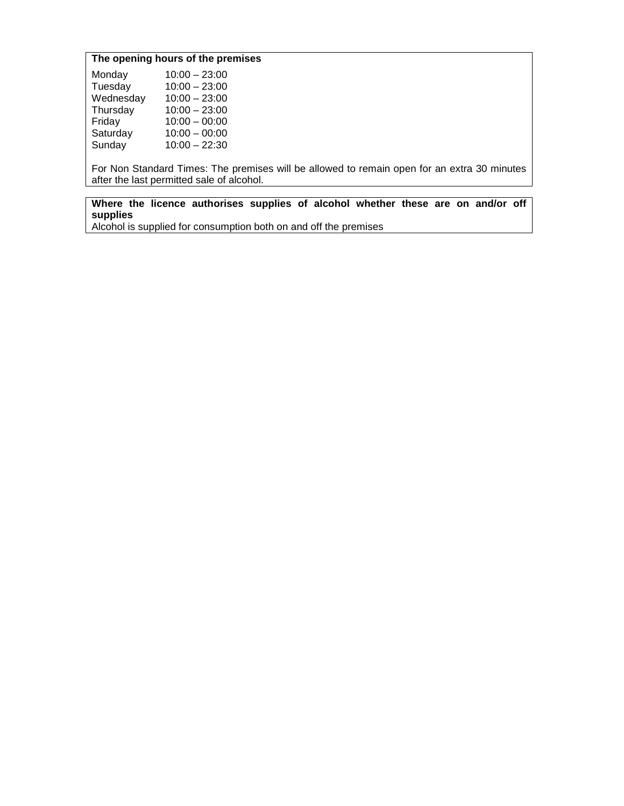# **The opening hours of the premises**

| Monday    | $10:00 - 23:00$ |
|-----------|-----------------|
| Tuesday   | $10:00 - 23:00$ |
| Wednesday | $10:00 - 23:00$ |
| Thursday  | $10:00 - 23:00$ |
| Friday    | $10:00 - 00:00$ |
| Saturday  | $10:00 - 00:00$ |
| Sunday    | $10:00 - 22:30$ |
|           |                 |

For Non Standard Times: The premises will be allowed to remain open for an extra 30 minutes after the last permitted sale of alcohol.

**Where the licence authorises supplies of alcohol whether these are on and/or off supplies**

Alcohol is supplied for consumption both on and off the premises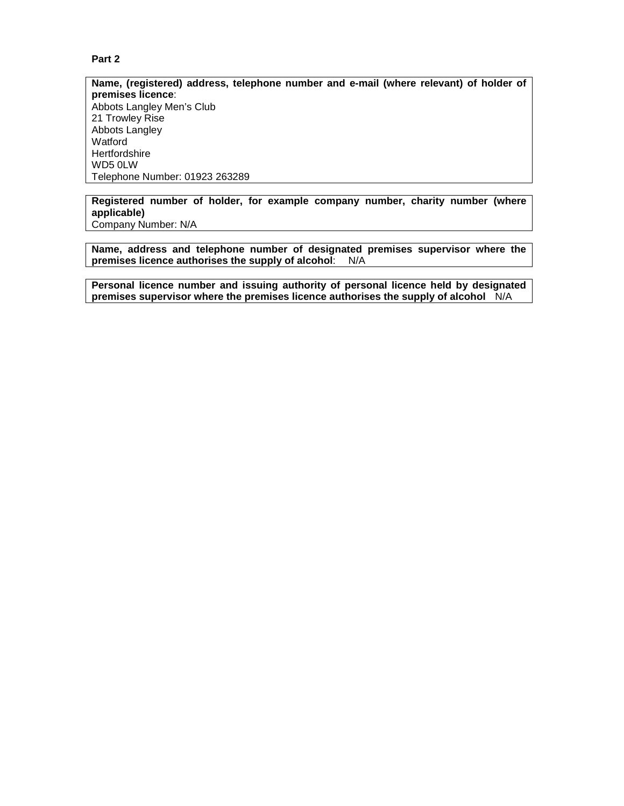## **Part 2**

**Name, (registered) address, telephone number and e-mail (where relevant) of holder of premises licence**: Abbots Langley Men's Club 21 Trowley Rise Abbots Langley Watford **Hertfordshire** WD5 0LW Telephone Number: 01923 263289

**Registered number of holder, for example company number, charity number (where applicable)** Company Number: N/A

**Name, address and telephone number of designated premises supervisor where the premises licence authorises the supply of alcohol**: N/A

**Personal licence number and issuing authority of personal licence held by designated premises supervisor where the premises licence authorises the supply of alcohol** N/A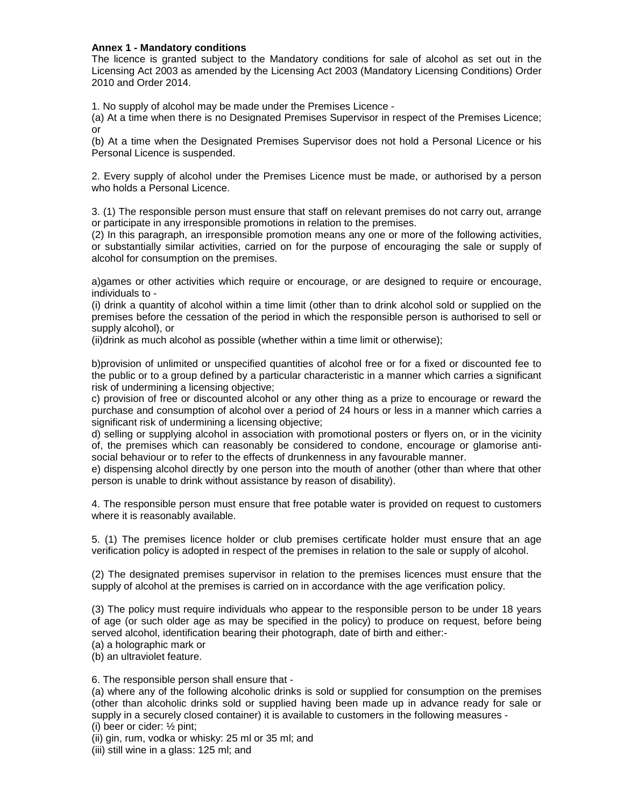## **Annex 1 - Mandatory conditions**

The licence is granted subject to the Mandatory conditions for sale of alcohol as set out in the Licensing Act 2003 as amended by the Licensing Act 2003 (Mandatory Licensing Conditions) Order 2010 and Order 2014.

1. No supply of alcohol may be made under the Premises Licence -

(a) At a time when there is no Designated Premises Supervisor in respect of the Premises Licence; or

(b) At a time when the Designated Premises Supervisor does not hold a Personal Licence or his Personal Licence is suspended.

2. Every supply of alcohol under the Premises Licence must be made, or authorised by a person who holds a Personal Licence.

3. (1) The responsible person must ensure that staff on relevant premises do not carry out, arrange or participate in any irresponsible promotions in relation to the premises.

(2) In this paragraph, an irresponsible promotion means any one or more of the following activities, or substantially similar activities, carried on for the purpose of encouraging the sale or supply of alcohol for consumption on the premises.

a)games or other activities which require or encourage, or are designed to require or encourage, individuals to -

(i) drink a quantity of alcohol within a time limit (other than to drink alcohol sold or supplied on the premises before the cessation of the period in which the responsible person is authorised to sell or supply alcohol), or

(ii)drink as much alcohol as possible (whether within a time limit or otherwise);

b)provision of unlimited or unspecified quantities of alcohol free or for a fixed or discounted fee to the public or to a group defined by a particular characteristic in a manner which carries a significant risk of undermining a licensing objective;

c) provision of free or discounted alcohol or any other thing as a prize to encourage or reward the purchase and consumption of alcohol over a period of 24 hours or less in a manner which carries a significant risk of undermining a licensing objective;

d) selling or supplying alcohol in association with promotional posters or flyers on, or in the vicinity of, the premises which can reasonably be considered to condone, encourage or glamorise antisocial behaviour or to refer to the effects of drunkenness in any favourable manner.

e) dispensing alcohol directly by one person into the mouth of another (other than where that other person is unable to drink without assistance by reason of disability).

4. The responsible person must ensure that free potable water is provided on request to customers where it is reasonably available.

5. (1) The premises licence holder or club premises certificate holder must ensure that an age verification policy is adopted in respect of the premises in relation to the sale or supply of alcohol.

(2) The designated premises supervisor in relation to the premises licences must ensure that the supply of alcohol at the premises is carried on in accordance with the age verification policy.

(3) The policy must require individuals who appear to the responsible person to be under 18 years of age (or such older age as may be specified in the policy) to produce on request, before being served alcohol, identification bearing their photograph, date of birth and either:-

(a) a holographic mark or

(b) an ultraviolet feature.

6. The responsible person shall ensure that -

(a) where any of the following alcoholic drinks is sold or supplied for consumption on the premises (other than alcoholic drinks sold or supplied having been made up in advance ready for sale or supply in a securely closed container) it is available to customers in the following measures -

(i) beer or cider: ½ pint;

(ii) gin, rum, vodka or whisky: 25 ml or 35 ml; and

(iii) still wine in a glass: 125 ml; and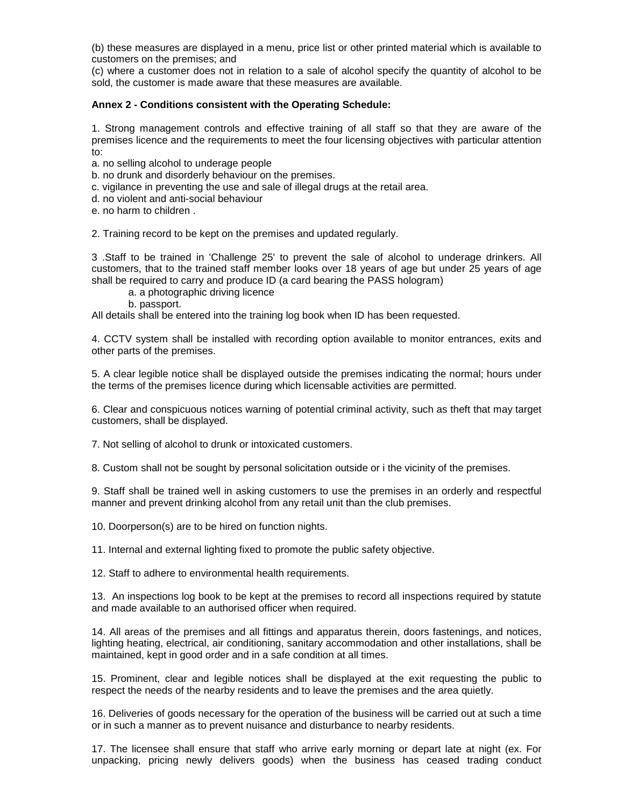(b) these measures are displayed in a menu, price list or other printed material which is available to customers on the premises; and

(c) where a customer does not in relation to a sale of alcohol specify the quantity of alcohol to be sold, the customer is made aware that these measures are available.

### **Annex 2 - Conditions consistent with the Operating Schedule:**

1. Strong management controls and effective training of all staff so that they are aware of the premises licence and the requirements to meet the four licensing objectives with particular attention to:

a. no selling alcohol to underage people

- b. no drunk and disorderly behaviour on the premises.
- c. vigilance in preventing the use and sale of illegal drugs at the retail area.
- d. no violent and anti-social behaviour
- e. no harm to children .

2. Training record to be kept on the premises and updated regularly.

3 .Staff to be trained in 'Challenge 25' to prevent the sale of alcohol to underage drinkers. All customers, that to the trained staff member looks over 18 years of age but under 25 years of age shall be required to carry and produce ID (a card bearing the PASS hologram)

- a. a photographic driving licence
- b. passport.

All details shall be entered into the training log book when ID has been requested.

4. CCTV system shall be installed with recording option available to monitor entrances, exits and other parts of the premises.

5. A clear legible notice shall be displayed outside the premises indicating the normal; hours under the terms of the premises licence during which licensable activities are permitted.

6. Clear and conspicuous notices warning of potential criminal activity, such as theft that may target customers, shall be displayed.

7. Not selling of alcohol to drunk or intoxicated customers.

8. Custom shall not be sought by personal solicitation outside or i the vicinity of the premises.

9. Staff shall be trained well in asking customers to use the premises in an orderly and respectful manner and prevent drinking alcohol from any retail unit than the club premises.

10. Doorperson(s) are to be hired on function nights.

11. Internal and external lighting fixed to promote the public safety objective.

12. Staff to adhere to environmental health requirements.

13. An inspections log book to be kept at the premises to record all inspections required by statute and made available to an authorised officer when required.

14. All areas of the premises and all fittings and apparatus therein, doors fastenings, and notices, lighting heating, electrical, air conditioning, sanitary accommodation and other installations, shall be maintained, kept in good order and in a safe condition at all times.

15. Prominent, clear and legible notices shall be displayed at the exit requesting the public to respect the needs of the nearby residents and to leave the premises and the area quietly.

16. Deliveries of goods necessary for the operation of the business will be carried out at such a time or in such a manner as to prevent nuisance and disturbance to nearby residents.

17. The licensee shall ensure that staff who arrive early morning or depart late at night (ex. For unpacking, pricing newly delivers goods) when the business has ceased trading conduct